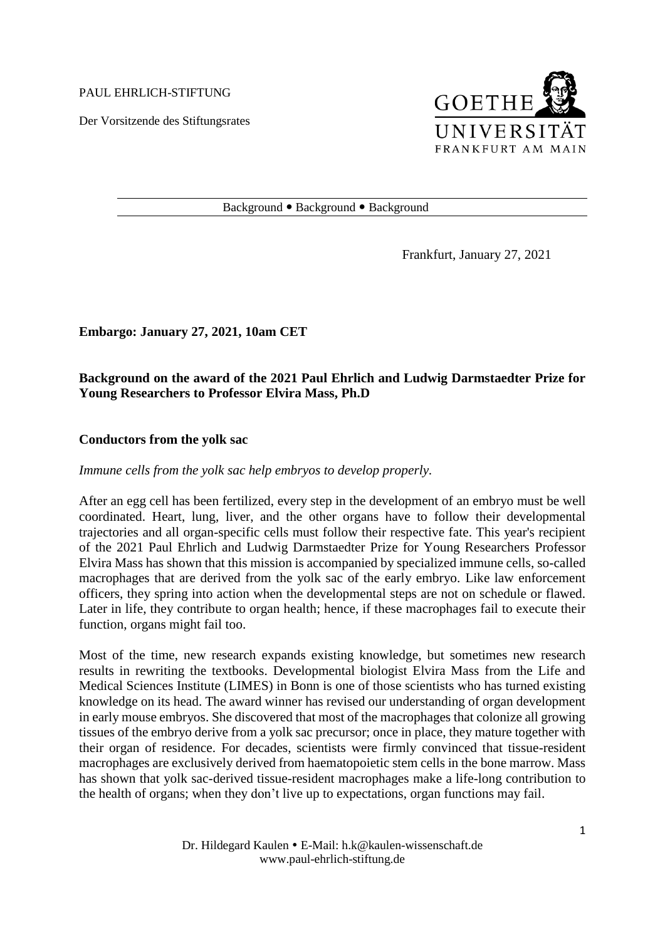PAUL EHRLICH-STIFTUNG

Der Vorsitzende des Stiftungsrates



#### Background • Background • Background

Frankfurt, January 27, 2021

**Embargo: January 27, 2021, 10am CET**

# **Background on the award of the 2021 Paul Ehrlich and Ludwig Darmstaedter Prize for Young Researchers to Professor Elvira Mass, Ph.D**

## **Conductors from the yolk sac**

# *Immune cells from the yolk sac help embryos to develop properly.*

After an egg cell has been fertilized, every step in the development of an embryo must be well coordinated. Heart, lung, liver, and the other organs have to follow their developmental trajectories and all organ-specific cells must follow their respective fate. This year's recipient of the 2021 Paul Ehrlich and Ludwig Darmstaedter Prize for Young Researchers Professor Elvira Mass has shown that this mission is accompanied by specialized immune cells, so-called macrophages that are derived from the yolk sac of the early embryo. Like law enforcement officers, they spring into action when the developmental steps are not on schedule or flawed. Later in life, they contribute to organ health; hence, if these macrophages fail to execute their function, organs might fail too.

Most of the time, new research expands existing knowledge, but sometimes new research results in rewriting the textbooks. Developmental biologist Elvira Mass from the Life and Medical Sciences Institute (LIMES) in Bonn is one of those scientists who has turned existing knowledge on its head. The award winner has revised our understanding of organ development in early mouse embryos. She discovered that most of the macrophages that colonize all growing tissues of the embryo derive from a yolk sac precursor; once in place, they mature together with their organ of residence. For decades, scientists were firmly convinced that tissue-resident macrophages are exclusively derived from haematopoietic stem cells in the bone marrow. Mass has shown that yolk sac-derived tissue-resident macrophages make a life-long contribution to the health of organs; when they don't live up to expectations, organ functions may fail.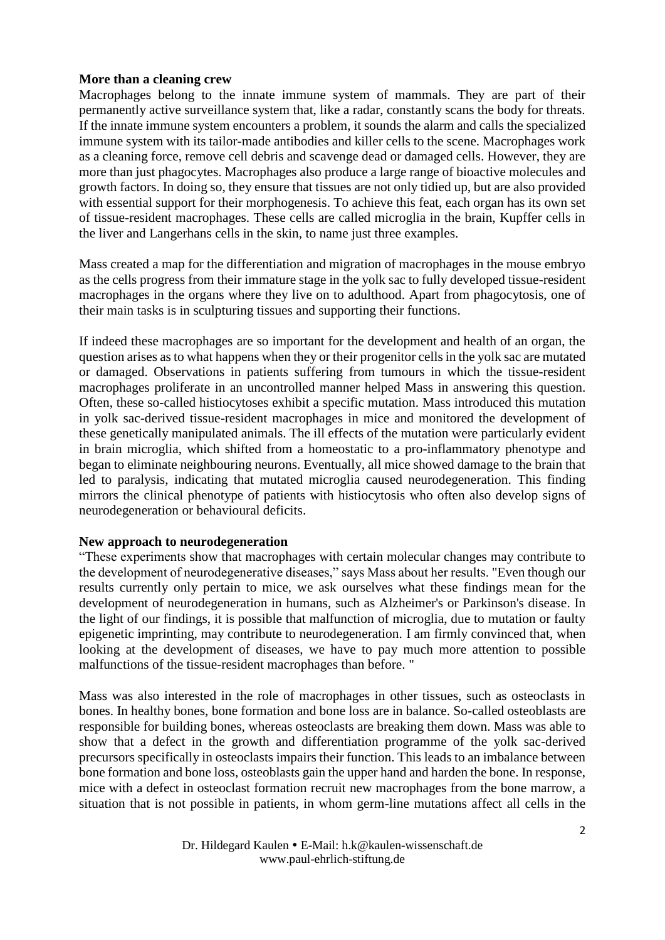## **More than a cleaning crew**

Macrophages belong to the innate immune system of mammals. They are part of their permanently active surveillance system that, like a radar, constantly scans the body for threats. If the innate immune system encounters a problem, it sounds the alarm and calls the specialized immune system with its tailor-made antibodies and killer cells to the scene. Macrophages work as a cleaning force, remove cell debris and scavenge dead or damaged cells. However, they are more than just phagocytes. Macrophages also produce a large range of bioactive molecules and growth factors. In doing so, they ensure that tissues are not only tidied up, but are also provided with essential support for their morphogenesis. To achieve this feat, each organ has its own set of tissue-resident macrophages. These cells are called microglia in the brain, Kupffer cells in the liver and Langerhans cells in the skin, to name just three examples.

Mass created a map for the differentiation and migration of macrophages in the mouse embryo as the cells progress from their immature stage in the yolk sac to fully developed tissue-resident macrophages in the organs where they live on to adulthood. Apart from phagocytosis, one of their main tasks is in sculpturing tissues and supporting their functions.

If indeed these macrophages are so important for the development and health of an organ, the question arises as to what happens when they or their progenitor cells in the yolk sac are mutated or damaged. Observations in patients suffering from tumours in which the tissue-resident macrophages proliferate in an uncontrolled manner helped Mass in answering this question. Often, these so-called histiocytoses exhibit a specific mutation. Mass introduced this mutation in yolk sac-derived tissue-resident macrophages in mice and monitored the development of these genetically manipulated animals. The ill effects of the mutation were particularly evident in brain microglia, which shifted from a homeostatic to a pro-inflammatory phenotype and began to eliminate neighbouring neurons. Eventually, all mice showed damage to the brain that led to paralysis, indicating that mutated microglia caused neurodegeneration. This finding mirrors the clinical phenotype of patients with histiocytosis who often also develop signs of neurodegeneration or behavioural deficits.

## **New approach to neurodegeneration**

"These experiments show that macrophages with certain molecular changes may contribute to the development of neurodegenerative diseases," says Mass about her results. "Even though our results currently only pertain to mice, we ask ourselves what these findings mean for the development of neurodegeneration in humans, such as Alzheimer's or Parkinson's disease. In the light of our findings, it is possible that malfunction of microglia, due to mutation or faulty epigenetic imprinting, may contribute to neurodegeneration. I am firmly convinced that, when looking at the development of diseases, we have to pay much more attention to possible malfunctions of the tissue-resident macrophages than before. "

Mass was also interested in the role of macrophages in other tissues, such as osteoclasts in bones. In healthy bones, bone formation and bone loss are in balance. So-called osteoblasts are responsible for building bones, whereas osteoclasts are breaking them down. Mass was able to show that a defect in the growth and differentiation programme of the yolk sac-derived precursors specifically in osteoclasts impairs their function. This leads to an imbalance between bone formation and bone loss, osteoblasts gain the upper hand and harden the bone. In response, mice with a defect in osteoclast formation recruit new macrophages from the bone marrow, a situation that is not possible in patients, in whom germ-line mutations affect all cells in the